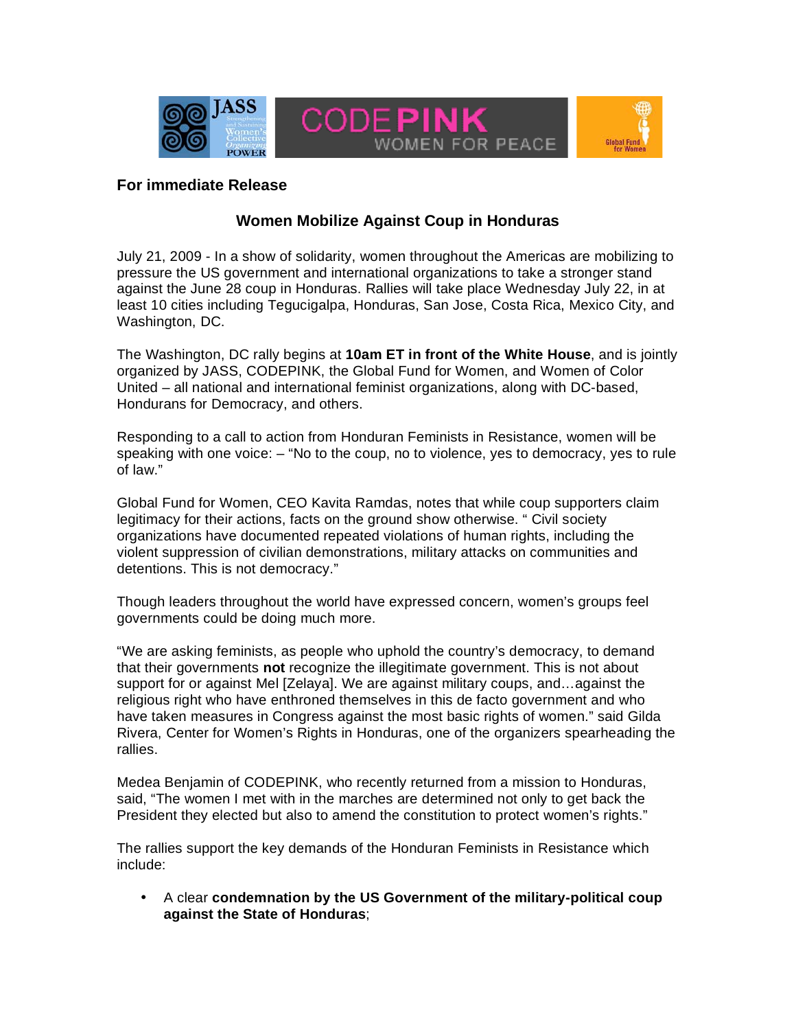

## **For immediate Release**

## **Women Mobilize Against Coup in Honduras**

July 21, 2009 - In a show of solidarity, women throughout the Americas are mobilizing to pressure the US government and international organizations to take a stronger stand against the June 28 coup in Honduras. Rallies will take place Wednesday July 22, in at least 10 cities including Tegucigalpa, Honduras, San Jose, Costa Rica, Mexico City, and Washington, DC.

The Washington, DC rally begins at **10am ET in front of the White House**, and is jointly organized by JASS, CODEPINK, the Global Fund for Women, and Women of Color United – all national and international feminist organizations, along with DC-based, Hondurans for Democracy, and others.

Responding to a call to action from Honduran Feminists in Resistance, women will be speaking with one voice: – "No to the coup, no to violence, yes to democracy, yes to rule of law."

Global Fund for Women, CEO Kavita Ramdas, notes that while coup supporters claim legitimacy for their actions, facts on the ground show otherwise. " Civil society organizations have documented repeated violations of human rights, including the violent suppression of civilian demonstrations, military attacks on communities and detentions. This is not democracy."

Though leaders throughout the world have expressed concern, women's groups feel governments could be doing much more.

"We are asking feminists, as people who uphold the country's democracy, to demand that their governments **not** recognize the illegitimate government. This is not about support for or against Mel [Zelaya]. We are against military coups, and…against the religious right who have enthroned themselves in this de facto government and who have taken measures in Congress against the most basic rights of women." said Gilda Rivera, Center for Women's Rights in Honduras, one of the organizers spearheading the rallies.

Medea Benjamin of CODEPINK, who recently returned from a mission to Honduras, said, "The women I met with in the marches are determined not only to get back the President they elected but also to amend the constitution to protect women's rights."

The rallies support the key demands of the Honduran Feminists in Resistance which include:

• A clear **condemnation by the US Government of the military-political coup against the State of Honduras**;